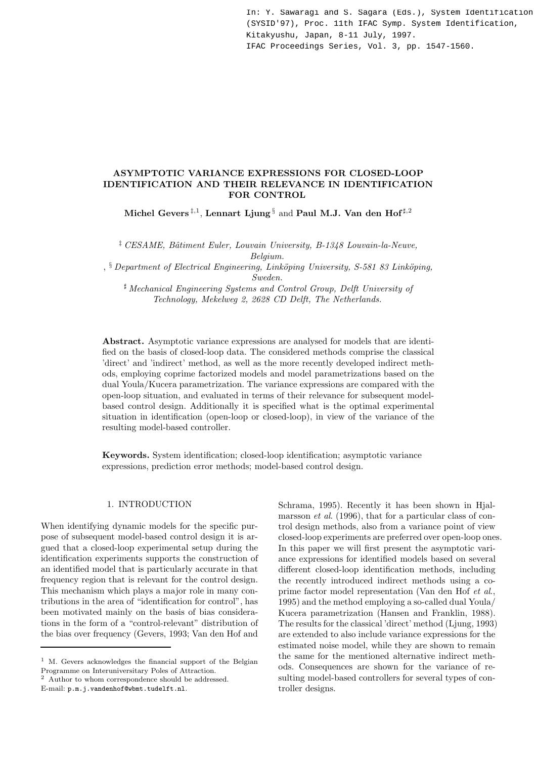In: Y. Sawaragi and S. Sagara (Eds.), System Identification (SYSID'97), Proc. 11th IFAC Symp. System Identification, Kitakyushu, Japan, 8-11 July, 1997. IFAC Proceedings Series, Vol. 3, pp. 1547-1560.

# **ASYMPTOTIC VARIANCE EXPRESSIONS FOR CLOSED-LOOP IDENTIFICATION AND THEIR RELEVANCE IN IDENTIFICATION FOR CONTROL**

 $\text{Michael Gevers }^{\ddagger,1}, \text{Lennart Ljung}^{\S} \text{ and Paul M.J. Van den Hof}^{\sharp,2}$ 

‡ *CESAME, Bˆatiment Euler, Louvain University, B-1348 Louvain-la-Neuve, Belgium.*

, § *Department of Electrical Engineering, Link¨oping University, S-581 83 Link¨oping, Sweden.*

- *Mechanical Engineering Systems and Control Group, Delft University of Technology, Mekelweg 2, 2628 CD Delft, The Netherlands.*

**Abstract.** Asymptotic variance expressions are analysed for models that are identified on the basis of closed-loop data. The considered methods comprise the classical 'direct' and 'indirect' method, as well as the more recently developed indirect methods, employing coprime factorized models and model parametrizations based on the dual Youla/Kucera parametrization. The variance expressions are compared with the open-loop situation, and evaluated in terms of their relevance for subsequent modelbased control design. Additionally it is specified what is the optimal experimental situation in identification (open-loop or closed-loop), in view of the variance of the resulting model-based controller.

**Keywords.** System identification; closed-loop identification; asymptotic variance expressions, prediction error methods; model-based control design.

# 1. INTRODUCTION

When identifying dynamic models for the specific purpose of subsequent model-based control design it is argued that a closed-loop experimental setup during the identification experiments supports the construction of an identified model that is particularly accurate in that frequency region that is relevant for the control design. This mechanism which plays a major role in many contributions in the area of "identification for control", has been motivated mainly on the basis of bias considerations in the form of a "control-relevant" distribution of the bias over frequency (Gevers, 1993; Van den Hof and

<sup>2</sup> Author to whom correspondence should be addressed.

E-mail: p.m.j.vandenhof@wbmt.tudelft.nl.

Schrama, 1995). Recently it has been shown in Hjalmarsson *et al.* (1996), that for a particular class of control design methods, also from a variance point of view closed-loop experiments are preferred over open-loop ones. In this paper we will first present the asymptotic variance expressions for identified models based on several different closed-loop identification methods, including the recently introduced indirect methods using a coprime factor model representation (Van den Hof *et al*., 1995) and the method employing a so-called dual Youla/ Kucera parametrization (Hansen and Franklin, 1988). The results for the classical 'direct' method (Ljung, 1993) are extended to also include variance expressions for the estimated noise model, while they are shown to remain the same for the mentioned alternative indirect methods. Consequences are shown for the variance of resulting model-based controllers for several types of controller designs.

 $^{\rm 1}$  M. Gevers acknowledges the financial support of the Belgian Programme on Interuniversitary Poles of Attraction.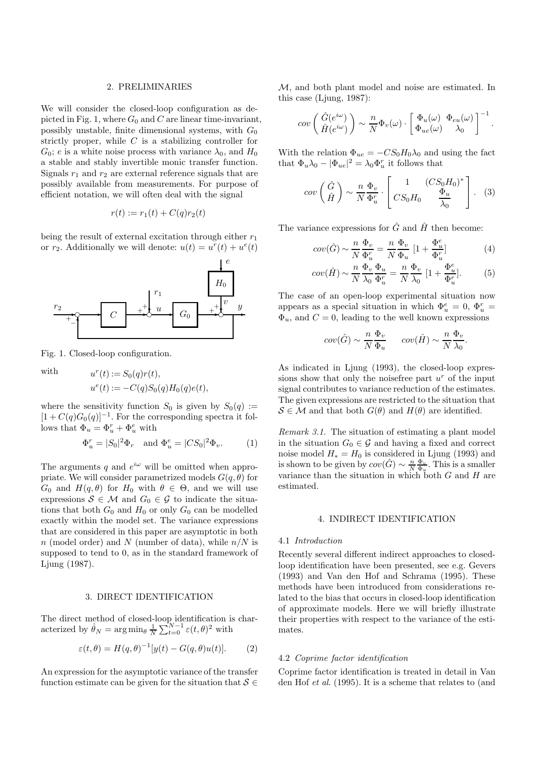### 2. PRELIMINARIES

We will consider the closed-loop configuration as depicted in Fig. 1, where  $G_0$  and C are linear time-invariant, possibly unstable, finite dimensional systems, with  $G_0$ strictly proper, while  $C$  is a stabilizing controller for  $G_0$ ; e is a white noise process with variance  $\lambda_0$ , and  $H_0$ a stable and stably invertible monic transfer function. Signals  $r_1$  and  $r_2$  are external reference signals that are possibly available from measurements. For purpose of efficient notation, we will often deal with the signal

$$
r(t) := r_1(t) + C(q)r_2(t)
$$

being the result of external excitation through either  $r_1$ or  $r_2$ . Additionally we will denote:  $u(t) = u^r(t) + u^e(t)$ 



Fig. 1. Closed-loop configuration.

with  $u^r(t) := S_0(q)r(t),$  $u^{e}(t) := -C(q)S_0(q)H_0(q)e(t),$ 

where the sensitivity function  $S_0$  is given by  $S_0(q) :=$  $[1 + C(q)G_0(q)]^{-1}$ . For the corresponding spectra it follows that  $\Phi_u = \Phi_u^r + \Phi_u^e$  with

$$
\Phi_u^r = |S_0|^2 \Phi_r \quad \text{and } \Phi_u^e = |CS_0|^2 \Phi_v. \tag{1}
$$

The arguments q and  $e^{i\omega}$  will be omitted when appropriate. We will consider parametrized models  $G(q, \theta)$  for  $G_0$  and  $H(q, \theta)$  for  $H_0$  with  $\theta \in \Theta$ , and we will use expressions  $S \in \mathcal{M}$  and  $G_0 \in \mathcal{G}$  to indicate the situations that both  $G_0$  and  $H_0$  or only  $G_0$  can be modelled exactly within the model set. The variance expressions that are considered in this paper are asymptotic in both  $n \pmod{p}$  and N (number of data), while  $n/N$  is supposed to tend to 0, as in the standard framework of Ljung (1987).

## 3. DIRECT IDENTIFICATION

The direct method of closed-loop identification is characterized by  $\hat{\theta}_N = \arg \min_{\theta} \frac{1}{N} \sum_{t=0}^{N-1} \varepsilon(t, \theta)^2$  with

$$
\varepsilon(t,\theta) = H(q,\theta)^{-1}[y(t) - G(q,\theta)u(t)].
$$
 (2)

An expression for the asymptotic variance of the transfer function estimate can be given for the situation that  $S \in$ 

M, and both plant model and noise are estimated. In this case (Ljung, 1987):

$$
cov\left(\begin{array}{c}\hat{G}(e^{i\omega}) \\ \hat{H}(e^{i\omega})\end{array}\right) \sim \frac{n}{N} \Phi_v(\omega) \cdot \left[\begin{array}{cc}\Phi_u(\omega) & \Phi_{eu}(\omega) \\ \Phi_{ue}(\omega) & \lambda_0\end{array}\right]^{-1}.
$$

With the relation  $\Phi_{ue} = -CS_0H_0\lambda_0$  and using the fact that  $\Phi_u \lambda_0 - |\Phi_{ue}|^2 = \lambda_0 \Phi_u^r$  it follows that

$$
cov\left(\begin{array}{c}\hat{G}\\\hat{H}\end{array}\right)\sim\frac{n}{N}\frac{\Phi_v}{\Phi_u^r}\cdot\left[\begin{array}{cc}1&(CS_0H_0)^*\\\cos H_0&\frac{\Phi_u}{\lambda_0}\end{array}\right].\tag{3}
$$

The variance expressions for  $\hat{G}$  and  $\hat{H}$  then become:

$$
cov(\hat{G}) \sim \frac{n}{N} \frac{\Phi_v}{\Phi_u^r} = \frac{n}{N} \frac{\Phi_v}{\Phi_u} \left[ 1 + \frac{\Phi_u^e}{\Phi_u^r} \right] \tag{4}
$$

$$
cov(\hat{H}) \sim \frac{n}{N} \frac{\Phi_v}{\lambda_0} \frac{\Phi_u}{\Phi_u^r} = \frac{n}{N} \frac{\Phi_v}{\lambda_0} \left[1 + \frac{\Phi_u^e}{\Phi_u^r}\right].
$$
 (5)

The case of an open-loop experimental situation now appears as a special situation in which  $\Phi_u^e = 0$ ,  $\Phi_u^r =$  $\Phi_u$ , and  $C=0$ , leading to the well known expressions

$$
cov(\hat{G}) \sim \frac{n}{N} \frac{\Phi_v}{\Phi_u} \qquad cov(\hat{H}) \sim \frac{n}{N} \frac{\Phi_v}{\lambda_0}.
$$

As indicated in Ljung (1993), the closed-loop expressions show that only the noise free part  $u^r$  of the input signal contributes to variance reduction of the estimates. The given expressions are restricted to the situation that  $S \in \mathcal{M}$  and that both  $G(\theta)$  and  $H(\theta)$  are identified.

*Remark 3.1.* The situation of estimating a plant model in the situation  $G_0 \in \mathcal{G}$  and having a fixed and correct noise model  $H_* = H_0$  is considered in Ljung (1993) and is shown to be given by  $cov(\hat{G}) \sim \frac{n}{N} \frac{\Phi_v}{\Phi_u}$ . This is a smaller variance than the situation in which both  $G$  and  $H$  are estimated.

#### 4. INDIRECT IDENTIFICATION

#### 4.1 *Introduction*

Recently several different indirect approaches to closedloop identification have been presented, see e.g. Gevers (1993) and Van den Hof and Schrama (1995). These methods have been introduced from considerations related to the bias that occurs in closed-loop identification of approximate models. Here we will briefly illustrate their properties with respect to the variance of the estimates.

### 4.2 *Coprime factor identification*

Coprime factor identification is treated in detail in Van den Hof *et al*. (1995). It is a scheme that relates to (and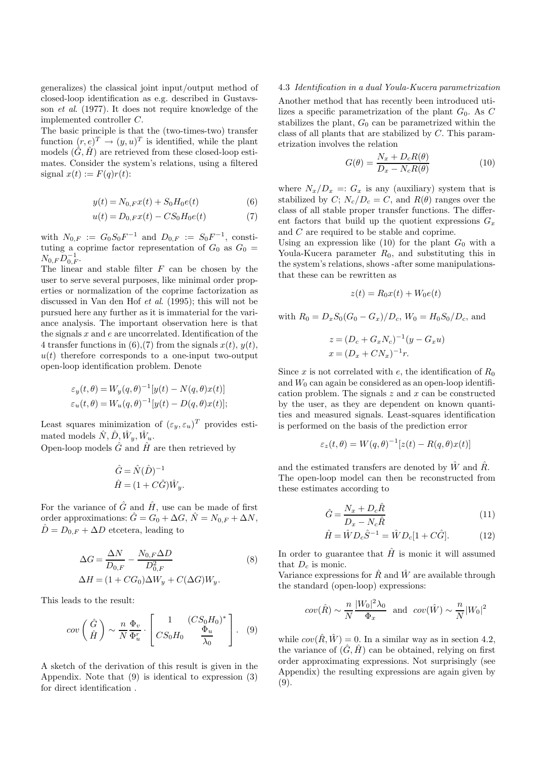generalizes) the classical joint input/output method of closed-loop identification as e.g. described in Gustavsson *et al*. (1977). It does not require knowledge of the implemented controller C.

The basic principle is that the (two-times-two) transfer function  $(r, e)^T \rightarrow (y, u)^T$  is identified, while the plant models  $(\hat{G}, \hat{H})$  are retrieved from these closed-loop estimates. Consider the system's relations, using a filtered signal  $x(t) := F(q)r(t)$ :

$$
y(t) = N_{0,F}x(t) + S_0H_0e(t)
$$
\n(6)

$$
u(t) = D_{0,F}x(t) - CS_0H_0e(t)
$$
\n(7)

with  $N_{0,F} := G_0 S_0 F^{-1}$  and  $D_{0,F} := S_0 F^{-1}$ , constituting a coprime factor representation of  $G_0$  as  $G_0$  =  $N_{0,F}\bar{D}_{0,F}^{-1}$ .

The linear and stable filter  $F$  can be chosen by the user to serve several purposes, like minimal order properties or normalization of the coprime factorization as discussed in Van den Hof *et al*. (1995); this will not be pursued here any further as it is immaterial for the variance analysis. The important observation here is that the signals  $x$  and  $e$  are uncorrelated. Identification of the 4 transfer functions in (6), (7) from the signals  $x(t)$ ,  $y(t)$ ,  $u(t)$  therefore corresponds to a one-input two-output open-loop identification problem. Denote

$$
\varepsilon_y(t,\theta) = W_y(q,\theta)^{-1}[y(t) - N(q,\theta)x(t)]
$$
  

$$
\varepsilon_u(t,\theta) = W_u(q,\theta)^{-1}[y(t) - D(q,\theta)x(t)];
$$

Least squares minimization of  $(\varepsilon_u, \varepsilon_u)^T$  provides estimated models  $\hat{N}, \hat{D}, \hat{W}_u, \hat{W}_u$ .

Open-loop models  $\hat{G}$  and  $\hat{H}$  are then retrieved by

$$
\hat{G} = \hat{N}(\hat{D})^{-1}
$$

$$
\hat{H} = (1 + C\hat{G})\hat{W}_y.
$$

For the variance of  $\hat{G}$  and  $\hat{H}$ , use can be made of first order approximations:  $\hat{G} = G_0 + \Delta G$ ,  $\hat{N} = N_{0,F} + \Delta N$ ,  $\hat{D} = D_{0,F} + \Delta D$  etcetera, leading to

$$
\Delta G = \frac{\Delta N}{D_{0,F}} - \frac{N_{0,F} \Delta D}{D_{0,F}^2}
$$
\n
$$
\Delta H = (1 + CG_0) \Delta W_y + C(\Delta G) W_y.
$$
\n(8)

This leads to the result:

$$
cov\left(\begin{array}{c}\hat{G}\\\hat{H}\end{array}\right)\sim\frac{n}{N}\frac{\Phi_v}{\Phi_u^r}\cdot\left[\begin{array}{cc}1&(CS_0H_0)^*\\\cos H_0&\frac{\Phi_u}{\lambda_0}\end{array}\right].\tag{9}
$$

A sketch of the derivation of this result is given in the Appendix. Note that (9) is identical to expression (3) for direct identification .

### 4.3 *Identification in a dual Youla-Kucera parametrization*

Another method that has recently been introduced utilizes a specific parametrization of the plant  $G_0$ . As C stabilizes the plant,  $G_0$  can be parametrized within the class of all plants that are stabilized by C. This parametrization involves the relation

$$
G(\theta) = \frac{N_x + D_c R(\theta)}{D_x - N_c R(\theta)}\tag{10}
$$

where  $N_x/D_x =: G_x$  is any (auxiliary) system that is stabilized by C;  $N_c/D_c = C$ , and  $R(\theta)$  ranges over the class of all stable proper transfer functions. The different factors that build up the quotient expressions  $G_x$ and C are required to be stable and coprime.

Using an expression like  $(10)$  for the plant  $G_0$  with a Youla-Kucera parameter  $R_0$ , and substituting this in the system's relations, shows -after some manipulationsthat these can be rewritten as

$$
z(t) = R_0 x(t) + W_0 e(t)
$$

with 
$$
R_0 = D_x S_0 (G_0 - G_x)/D_c
$$
,  $W_0 = H_0 S_0/D_c$ , and

$$
z = (D_c + G_x N_c)^{-1} (y - G_x u)
$$
  

$$
x = (D_x + C N_x)^{-1} r.
$$

Since x is not correlated with e, the identification of  $R_0$ and  $W_0$  can again be considered as an open-loop identification problem. The signals  $z$  and  $x$  can be constructed by the user, as they are dependent on known quantities and measured signals. Least-squares identification is performed on the basis of the prediction error

$$
\varepsilon_z(t,\theta) = W(q,\theta)^{-1}[z(t) - R(q,\theta)x(t)]
$$

and the estimated transfers are denoted by  $\hat{W}$  and  $\hat{R}$ . The open-loop model can then be reconstructed from these estimates according to

$$
\hat{G} = \frac{N_x + D_c \hat{R}}{D_x - N_c \hat{R}}\tag{11}
$$

$$
\hat{H} = \hat{W} D_c \hat{S}^{-1} = \hat{W} D_c [1 + C \hat{G}].
$$
 (12)

In order to guarantee that  $\hat{H}$  is monic it will assumed that  $D_c$  is monic.

Variance expressions for  $\hat{R}$  and  $\hat{W}$  are available through the standard (open-loop) expressions:

$$
cov(\hat{R}) \sim \frac{n}{N} \frac{|W_0|^2 \lambda_0}{\Phi_x}
$$
 and  $cov(\hat{W}) \sim \frac{n}{N} |W_0|^2$ 

while  $cov(\hat{R}, \hat{W}) = 0$ . In a similar way as in section 4.2, the variance of  $(\hat{G}, \hat{H})$  can be obtained, relying on first order approximating expressions. Not surprisingly (see Appendix) the resulting expressions are again given by (9).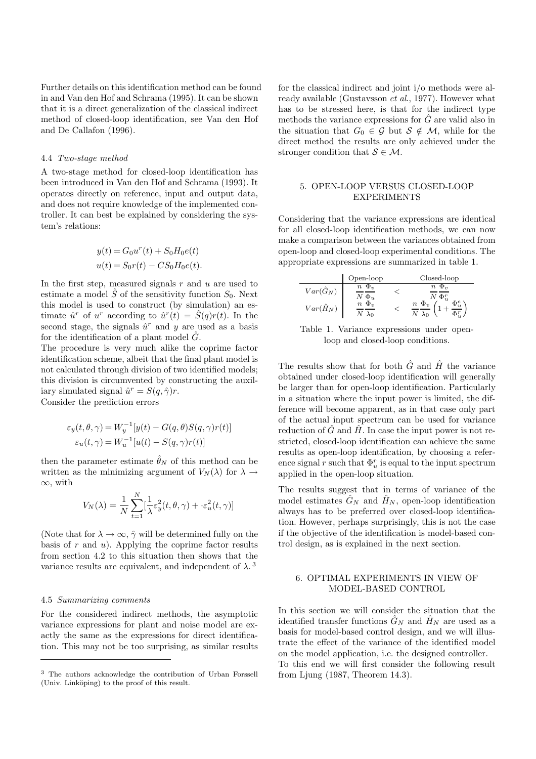Further details on this identification method can be found in and Van den Hof and Schrama (1995). It can be shown that it is a direct generalization of the classical indirect method of closed-loop identification, see Van den Hof and De Callafon (1996).

#### 4.4 *Two-stage method*

A two-stage method for closed-loop identification has been introduced in Van den Hof and Schrama (1993). It operates directly on reference, input and output data, and does not require knowledge of the implemented controller. It can best be explained by considering the system's relations:

$$
y(t) = G_0 u^{r}(t) + S_0 H_0 e(t)
$$
  

$$
u(t) = S_0 r(t) - C S_0 H_0 e(t).
$$

In the first step, measured signals  $r$  and  $u$  are used to estimate a model  $\hat{S}$  of the sensitivity function  $S_0$ . Next this model is used to construct (by simulation) an estimate  $\hat{u}^r$  of  $u^r$  according to  $\hat{u}^r(t) = S(q)r(t)$ . In the second stage, the signals  $\hat{u}^r$  and y are used as a basis for the identification of a plant model  $\hat{G}$ .

The procedure is very much alike the coprime factor identification scheme, albeit that the final plant model is not calculated through division of two identified models; this division is circumvented by constructing the auxiliary simulated signal  $\hat{u}^r = S(q, \hat{\gamma})r$ . Consider the prediction errors

$$
\varepsilon_y(t, \theta, \gamma) = W_y^{-1}[y(t) - G(q, \theta)S(q, \gamma)r(t)]
$$

$$
\varepsilon_u(t, \gamma) = W_u^{-1}[u(t) - S(q, \gamma)r(t)]
$$

then the parameter estimate  $\hat{\theta}_N$  of this method can be written as the minimizing argument of  $V_N(\lambda)$  for  $\lambda \to$ ∞, with

$$
V_N(\lambda) = \frac{1}{N} \sum_{t=1}^N [\frac{1}{\lambda} \varepsilon_y^2(t, \theta, \gamma) + \varepsilon_u^2(t, \gamma)]
$$

(Note that for  $\lambda \to \infty$ ,  $\hat{\gamma}$  will be determined fully on the basis of  $r$  and  $u$ ). Applying the coprime factor results from section 4.2 to this situation then shows that the variance results are equivalent, and independent of  $\lambda$ .<sup>3</sup>

### 4.5 *Summarizing comments*

For the considered indirect methods, the asymptotic variance expressions for plant and noise model are exactly the same as the expressions for direct identification. This may not be too surprising, as similar results

for the classical indirect and joint i/o methods were already available (Gustavsson *et al*., 1977). However what has to be stressed here, is that for the indirect type methods the variance expressions for  $\tilde{G}$  are valid also in the situation that  $G_0 \in \mathcal{G}$  but  $\mathcal{S} \notin \mathcal{M}$ , while for the direct method the results are only achieved under the stronger condition that  $S \in \mathcal{M}$ .

## 5. OPEN-LOOP VERSUS CLOSED-LOOP EXPERIMENTS

Considering that the variance expressions are identical for all closed-loop identification methods, we can now make a comparison between the variances obtained from open-loop and closed-loop experimental conditions. The appropriate expressions are summarized in table 1.

|                                      | Open-loop                                               | Closed-loop                                          |
|--------------------------------------|---------------------------------------------------------|------------------------------------------------------|
| $Var(\hat{G}_N)$<br>$Var(\hat{H}_N)$ | $n \Phi_v$<br>$N\ \Phi_u$<br>$n \Phi_{v}$<br>$\Delta_0$ | $n \Phi_{v}$<br>$^{\prime}$ $\Phi_u^r$<br>$n \Phi_v$ |

Table 1. Variance expressions under openloop and closed-loop conditions.

The results show that for both  $\hat{G}$  and  $\hat{H}$  the variance obtained under closed-loop identification will generally be larger than for open-loop identification. Particularly in a situation where the input power is limited, the difference will become apparent, as in that case only part of the actual input spectrum can be used for variance reduction of  $\hat{G}$  and  $\hat{H}$ . In case the input power is not restricted, closed-loop identification can achieve the same results as open-loop identification, by choosing a reference signal r such that  $\Phi_u^r$  is equal to the input spectrum applied in the open-loop situation.

The results suggest that in terms of variance of the model estimates  $\hat{G}_N$  and  $\hat{H}_N$ , open-loop identification always has to be preferred over closed-loop identification. However, perhaps surprisingly, this is not the case if the objective of the identification is model-based control design, as is explained in the next section.

## 6. OPTIMAL EXPERIMENTS IN VIEW OF MODEL-BASED CONTROL

In this section we will consider the situation that the identified transfer functions  $\hat{G}_N$  and  $\hat{H}_N$  are used as a basis for model-based control design, and we will illustrate the effect of the variance of the identified model on the model application, i.e. the designed controller. To this end we will first consider the following result from Ljung (1987, Theorem 14.3).

<sup>3</sup> The authors acknowledge the contribution of Urban Forssell (Univ. Linköping) to the proof of this result.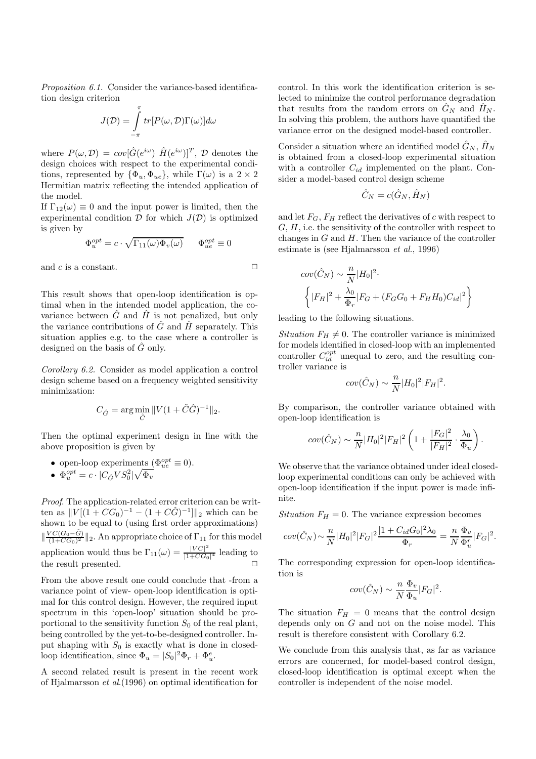*Proposition 6.1.* Consider the variance-based identification design criterion

$$
J(\mathcal{D}) = \int_{-\pi}^{\pi} tr[P(\omega, \mathcal{D})\Gamma(\omega)]d\omega
$$

where  $P(\omega, \mathcal{D}) = cov[\hat{G}(e^{i\omega}) \hat{H}(e^{i\omega})]^T$ ,  $\mathcal{D}$  denotes the design choices with respect to the experimental conditions, represented by  $\{\Phi_u, \Phi_{ue}\}\$ , while  $\Gamma(\omega)$  is a  $2 \times 2$ Hermitian matrix reflecting the intended application of the model.

If  $\Gamma_{12}(\omega) \equiv 0$  and the input power is limited, then the experimental condition  $\mathcal D$  for which  $J(\mathcal D)$  is optimized is given by

$$
\Phi_u^{opt} = c \cdot \sqrt{\Gamma_{11}(\omega)\Phi_v(\omega)} \qquad \Phi_{ue}^{opt} \equiv 0
$$

and  $c$  is a constant.  $\Box$ 

This result shows that open-loop identification is optimal when in the intended model application, the covariance between  $G$  and  $H$  is not penalized, but only the variance contributions of  $\hat{G}$  and  $\hat{H}$  separately. This situation applies e.g. to the case where a controller is designed on the basis of  $\hat{G}$  only.

*Corollary 6.2.* Consider as model application a control design scheme based on a frequency weighted sensitivity minimization:

$$
C_{\hat{G}}=\arg\min_{\tilde{C}}\|V(1+\tilde{C}\hat{G})^{-1}\|_2.
$$

Then the optimal experiment design in line with the above proposition is given by

- open-loop experiments  $(\Phi_{ue}^{opt} \equiv 0)$ .
- $\Phi_u^{opt} = c \cdot |C_{\hat{G}} V S_0^2| \sqrt{\Phi_v}$

*Proof*. The application-related error criterion can be written as  $||V[(1 + CG_0)^{-1} - (1 + C\hat{G})^{-1}]||_2$  which can be shown to be equal to (using first order approximations)  $\|\frac{VC(G_0-\hat{G})}{(1+CG_0)^2}\|_2$ . An appropriate choice of  $\Gamma_{11}$  for this model application would thus be  $\Gamma_{11}(\omega) = \frac{|VC|^2}{|1+CG_0|^4}$  leading to the result presented.  $\Box$ 

From the above result one could conclude that -from a variance point of view- open-loop identification is optimal for this control design. However, the required input spectrum in this 'open-loop' situation should be proportional to the sensitivity function  $S_0$  of the real plant, being controlled by the yet-to-be-designed controller. Input shaping with  $S_0$  is exactly what is done in closedloop identification, since  $\Phi_u = |S_0|^2 \Phi_r + \Phi_u^e$ .

A second related result is present in the recent work of Hjalmarsson *et al*.(1996) on optimal identification for

control. In this work the identification criterion is selected to minimize the control performance degradation that results from the random errors on  $\hat{G}_N$  and  $\hat{H}_N$ . In solving this problem, the authors have quantified the variance error on the designed model-based controller.

Consider a situation where an identified model  $\hat{G}_N$ ,  $\hat{H}_N$ is obtained from a closed-loop experimental situation with a controller  $C_{id}$  implemented on the plant. Consider a model-based control design scheme

$$
\hat{C}_N = c(\hat{G}_N, \hat{H}_N)
$$

and let  $F_G$ ,  $F_H$  reflect the derivatives of c with respect to  $G, H$ , i.e. the sensitivity of the controller with respect to changes in  $G$  and  $H$ . Then the variance of the controller estimate is (see Hjalmarsson *et al*., 1996)

$$
cov(\hat{C}_N) \sim \frac{n}{N} |H_0|^2.
$$
  

$$
\left\{ |F_H|^2 + \frac{\lambda_0}{\Phi_r} |F_G + (F_G G_0 + F_H H_0) C_{id}|^2 \right\}
$$

leading to the following situations.

*Situation*  $F_H \neq 0$ . The controller variance is minimized for models identified in closed-loop with an implemented controller  $C_{id}^{opt}$  unequal to zero, and the resulting controller variance is

$$
cov(\hat{C}_N) \sim \frac{n}{N} |H_0|^2 |F_H|^2.
$$

By comparison, the controller variance obtained with open-loop identification is

$$
cov(\hat{C}_N) \sim \frac{n}{N} |H_0|^2 |F_H|^2 \left(1 + \frac{|F_G|^2}{|F_H|^2} \cdot \frac{\lambda_0}{\Phi_u}\right).
$$

We observe that the variance obtained under ideal closedloop experimental conditions can only be achieved with open-loop identification if the input power is made infinite.

*Situation*  $F_H = 0$ . The variance expression becomes

$$
cov(\hat{C}_N) \sim \frac{n}{N} |H_0|^2 |F_G|^2 \frac{|1 + C_{id} G_0|^2 \lambda_0}{\Phi_r} = \frac{n}{N} \frac{\Phi_v}{\Phi_u^r} |F_G|^2.
$$

The corresponding expression for open-loop identification is

$$
cov(\hat{C}_N) \sim \frac{n}{N} \frac{\Phi_v}{\Phi_u} |F_G|^2.
$$

The situation  $F_H = 0$  means that the control design depends only on  $G$  and not on the noise model. This result is therefore consistent with Corollary 6.2.

We conclude from this analysis that, as far as variance errors are concerned, for model-based control design, closed-loop identification is optimal except when the controller is independent of the noise model.